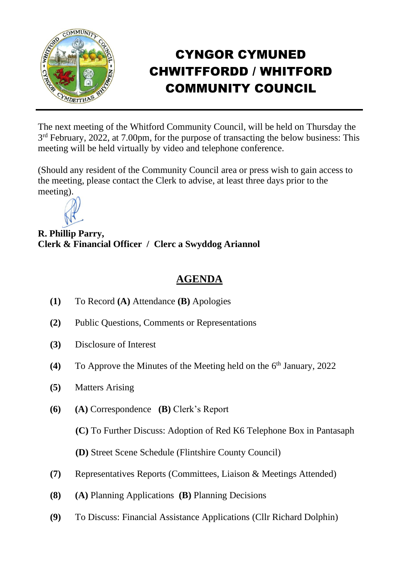

## CYNGOR CYMUNED CHWITFFORDD / WHITFORD COMMUNITY COUNCIL

The next meeting of the Whitford Community Council, will be held on Thursday the 3<sup>rd</sup> February, 2022, at 7.00pm, for the purpose of transacting the below business: This meeting will be held virtually by video and telephone conference.

(Should any resident of the Community Council area or press wish to gain access to the meeting, please contact the Clerk to advise, at least three days prior to the meeting).



**R. Phillip Parry, Clerk & Financial Officer / Clerc a Swyddog Ariannol**

## **AGENDA**

- **(1)** To Record **(A)** Attendance **(B)** Apologies
- **(2)** Public Questions, Comments or Representations
- **(3)** Disclosure of Interest
- (4) To Approve the Minutes of the Meeting held on the 6<sup>th</sup> January, 2022
- **(5)** Matters Arising
- **(6) (A)** Correspondence **(B)** Clerk's Report

**(C)** To Further Discuss: Adoption of Red K6 Telephone Box in Pantasaph

**(D)** Street Scene Schedule (Flintshire County Council)

- **(7)** Representatives Reports (Committees, Liaison & Meetings Attended)
- **(8) (A)** Planning Applications **(B)** Planning Decisions
- **(9)** To Discuss: Financial Assistance Applications (Cllr Richard Dolphin)